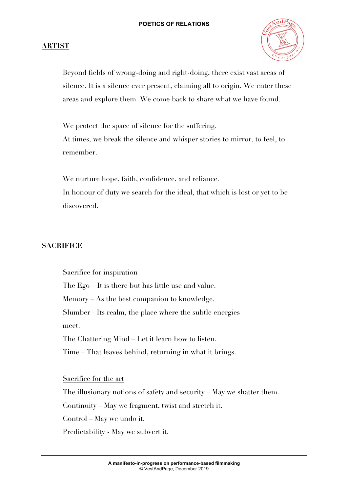### **ARTIST**



Beyond fields of wrong-doing and right-doing, there exist vast areas of silence. It is a silence ever present, claiming all to origin. We enter these areas and explore them. We come back to share what we have found.

We protect the space of silence for the suffering. At times, we break the silence and whisper stories to mirror, to feel, to remember.

We nurture hope, faith, confidence, and reliance. In honour of duty we search for the ideal, that which is lost or yet to be discovered.

### **SACRIFICE**

Sacrifice for inspiration

The Ego – It is there but has little use and value. Memory As the best companion to knowledge. Slumber - Its realm, the place where the subtle energies meet.

The Chattering Mind – Let it learn how to listen.

Time – That leaves behind, returning in what it brings.

Sacrifice for the art

The illusionary notions of safety and security – May we shatter them.

Continuity – May we fragment, twist and stretch it.

Control – May we undo it.

Predictability - May we subvert it.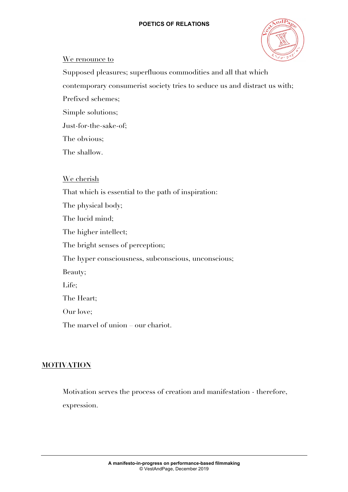

### We renounce to

Supposed pleasures; superfluous commodities and all that which

contemporary consumerist society tries to seduce us and distract us with;

Prefixed schemes;

Simple solutions;

Just-for-the-sake-of;

The obvious;

The shallow.

### We cherish

That which is essential to the path of inspiration: The physical body; The lucid mind; The higher intellect; The bright senses of perception; The hyper consciousness, subconscious, unconscious; Beauty; Life; The Heart; Our love; The marvel of union – our chariot.

# **MOTIVATION**

Motivation serves the process of creation and manifestation - therefore, expression.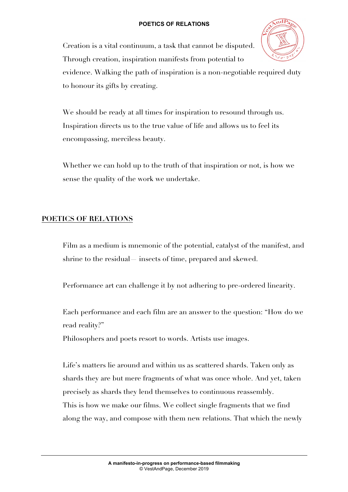Creation is a vital continuum, a task that cannot be disputed. Through creation, inspiration manifests from potential to



evidence. Walking the path of inspiration is a non-negotiable required duty to honour its gifts by creating.

We should be ready at all times for inspiration to resound through us. Inspiration directs us to the true value of life and allows us to feel its encompassing, merciless beauty.

Whether we can hold up to the truth of that inspiration or not, is how we sense the quality of the work we undertake.

### **POETICS OF RELATIONS**

Film as a medium is mnemonic of the potential, catalyst of the manifest, and shrine to the residual— insects of time, prepared and skewed.

Performance art can challenge it by not adhering to pre-ordered linearity.

Each performance and each film are an answer to the question: "How do we read reality?"

Philosophers and poets resort to words. Artists use images.

Life's matters lie around and within us as scattered shards. Taken only as shards they are but mere fragments of what was once whole. And yet, taken precisely as shards they lend themselves to continuous reassembly. This is how we make our films. We collect single fragments that we find along the way, and compose with them new relations. That which the newly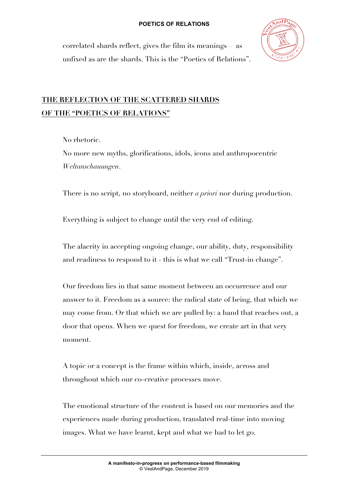

correlated shards reflect, gives the film its meanings— as unfixed as are the shards. This is the "Poetics of Relations".

# **THE REFLECTION OF THE SCATTERED SHARDS OF THE "POETICS OF RELATIONS"**

No rhetoric.

No more new myths, glorifications, idols, icons and anthropocentric *Weltanschauungen*.

There is no script, no storyboard, neither *a priori* nor during production.

Everything is subject to change until the very end of editing.

The alacrity in accepting ongoing change, our ability, duty, responsibility and readiness to respond to it - this is what we call "Trust-in change".

Our freedom lies in that same moment between an occurrence and our answer to it. Freedom as a source: the radical state of being, that which we may come from. Or that which we are pulled by: a hand that reaches out, a door that opens. When we quest for freedom, we create art in that very moment.

A topic or a concept is the frame within which, inside, across and throughout which our co-creative processes move.

The emotional structure of the content is based on our memories and the experiences made during production, translated real-time into moving images. What we have learnt, kept and what we had to let go.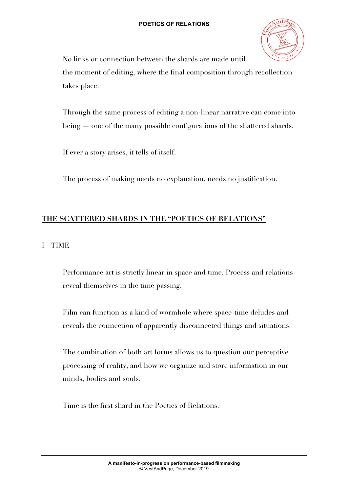

No links or connection between the shards are made until the moment of editing, where the final composition through recollection takes place.

Through the same process of editing a non-linear narrative can come into being — one of the many possible configurations of the shattered shards.

If ever a story arises, it tells of itself.

The process of making needs no explanation, needs no justification.

## **THE SCATTERED SHARDS IN THE "POETICS OF RELATIONS"**

### I - TIME

Performance art is strictly linear in space and time. Process and relations reveal themselves in the time passing.

Film can function as a kind of wormhole where space-time deludes and reveals the connection of apparently disconnected things and situations.

The combination of both art forms allows us to question our perceptive processing of reality, and how we organize and store information in our minds, bodies and souls.

Time is the first shard in the Poetics of Relations.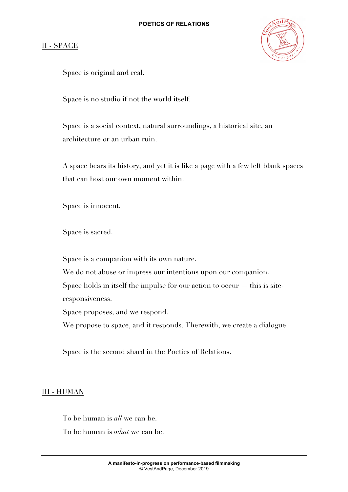### II - SPACE



Space is original and real.

Space is no studio if not the world itself.

Space is a social context, natural surroundings, a historical site, an architecture or an urban ruin.

A space bears its history, and yet it is like a page with a few left blank spaces that can host our own moment within.

Space is innocent.

Space is sacred.

Space is a companion with its own nature.

We do not abuse or impress our intentions upon our companion. Space holds in itself the impulse for our action to occur — this is siteresponsiveness.

Space proposes, and we respond.

We propose to space, and it responds. Therewith, we create a dialogue.

Space is the second shard in the Poetics of Relations.

### III - HUMAN

To be human is *all* we can be.

To be human is *what* we can be.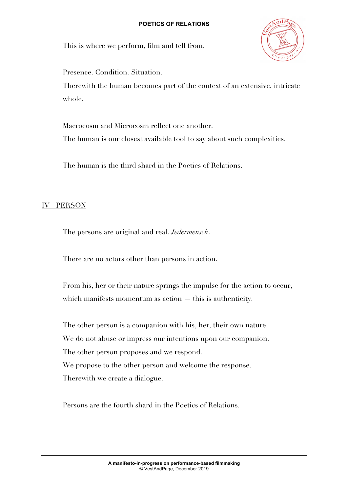

This is where we perform, film and tell from.

Presence. Condition. Situation.

Therewith the human becomes part of the context of an extensive, intricate whole.

Macrocosm and Microcosm reflect one another. The human is our closest available tool to say about such complexities.

The human is the third shard in the Poetics of Relations.

### IV - PERSON

The persons are original and real. *Jedermensch*.

There are no actors other than persons in action.

From his, her or their nature springs the impulse for the action to occur, which manifests momentum as action — this is authenticity.

The other person is a companion with his, her, their own nature. We do not abuse or impress our intentions upon our companion. The other person proposes and we respond. We propose to the other person and welcome the response. Therewith we create a dialogue.

Persons are the fourth shard in the Poetics of Relations.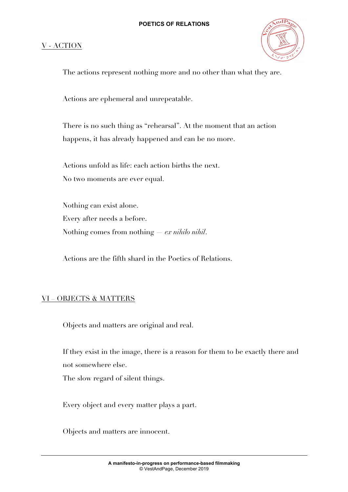### V - ACTION



The actions represent nothing more and no other than what they are.

Actions are ephemeral and unrepeatable.

There is no such thing as "rehearsal". At the moment that an action happens, it has already happened and can be no more.

Actions unfold as life: each action births the next. No two moments are ever equal.

Nothing can exist alone. Every after needs a before. Nothing comes from nothing — *ex nihilo nihil*.

Actions are the fifth shard in the Poetics of Relations.

### VI – OBJECTS & MATTERS

Objects and matters are original and real.

If they exist in the image, there is a reason for them to be exactly there and not somewhere else.

The slow regard of silent things.

Every object and every matter plays a part.

Objects and matters are innocent.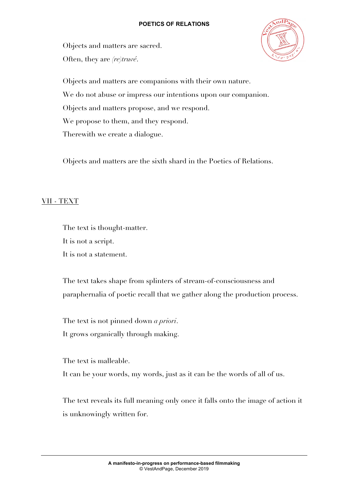Objects and matters are sacred. Often, they are *(re)truvé*.



Objects and matters are companions with their own nature. We do not abuse or impress our intentions upon our companion. Objects and matters propose, and we respond. We propose to them, and they respond. Therewith we create a dialogue.

Objects and matters are the sixth shard in the Poetics of Relations.

### VII - TEXT

The text is thought-matter. It is not a script. It is not a statement.

The text takes shape from splinters of stream-of-consciousness and paraphernalia of poetic recall that we gather along the production process.

The text is not pinned down *a priori*. It grows organically through making.

The text is malleable.

It can be your words, my words, just as it can be the words of all of us.

The text reveals its full meaning only once it falls onto the image of action it is unknowingly written for.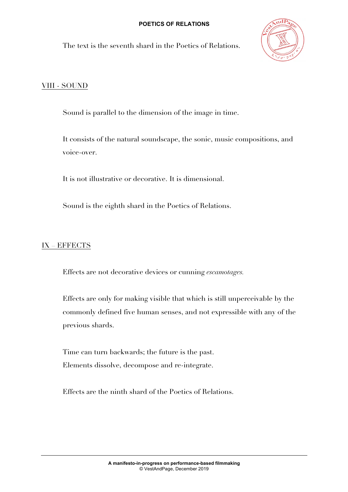The text is the seventh shard in the Poetics of Relations.



### VIII - SOUND

Sound is parallel to the dimension of the image in time.

It consists of the natural soundscape, the sonic, music compositions, and voice-over.

It is not illustrative or decorative. It is dimensional.

Sound is the eighth shard in the Poetics of Relations.

### IX – EFFECTS

Effects are not decorative devices or cunning *escamotages.*

Effects are only for making visible that which is still unperceivable by the commonly defined five human senses, and not expressible with any of the previous shards.

Time can turn backwards; the future is the past. Elements dissolve, decompose and re-integrate.

Effects are the ninth shard of the Poetics of Relations.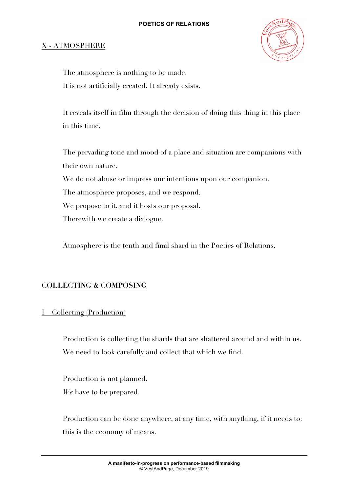### X - ATMOSPHERE



The atmosphere is nothing to be made. It is not artificially created. It already exists.

It reveals itself in film through the decision of doing this thing in this place in this time.

The pervading tone and mood of a place and situation are companions with their own nature. We do not abuse or impress our intentions upon our companion. The atmosphere proposes, and we respond. We propose to it, and it hosts our proposal. Therewith we create a dialogue.

Atmosphere is the tenth and final shard in the Poetics of Relations.

### **COLLECTING & COMPOSING**

#### I – Collecting (Production)

Production is collecting the shards that are shattered around and within us. We need to look carefully and collect that which we find.

Production is not planned. *We* have to be prepared.

Production can be done anywhere, at any time, with anything, if it needs to: this is the economy of means.